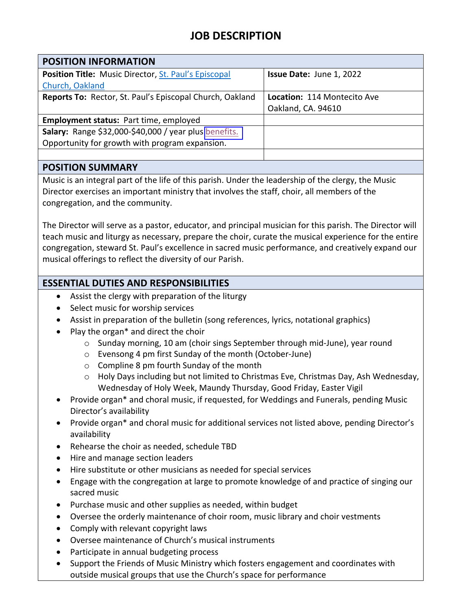# **JOB DESCRIPTION**

| <b>POSITION INFORMATION</b>                                 |                             |
|-------------------------------------------------------------|-----------------------------|
| <b>Position Title:</b> Music Director, St. Paul's Episcopal | Issue Date: June 1, 2022    |
| Church, Oakland                                             |                             |
| Reports To: Rector, St. Paul's Episcopal Church, Oakland    | Location: 114 Montecito Ave |
|                                                             | Oakland, CA. 94610          |
| <b>Employment status: Part time, employed</b>               |                             |
| Salary: Range \$32,000-\$40,000 / year plus benefits.       |                             |
| Opportunity for growth with program expansion.              |                             |
|                                                             |                             |

#### **POSITION SUMMARY**

Music is an integral part of the life of this parish. Under the leadership of the clergy, the Music Director exercises an important ministry that involves the staff, choir, all members of the congregation, and the community.

The Director will serve as a pastor, educator, and principal musician for this parish. The Director will teach music and liturgy as necessary, prepare the choir, curate the musical experience for the entire congregation, steward St. Paul's excellence in sacred music performance, and creatively expand our musical offerings to reflect the diversity of our Parish.

### **ESSENTIAL DUTIES AND RESPONSIBILITIES**

- Assist the clergy with preparation of the liturgy
- Select music for worship services
- Assist in preparation of the bulletin (song references, lyrics, notational graphics)
- Play the organ\* and direct the choir
	- o Sunday morning, 10 am (choir sings September through mid-June), year round
	- o Evensong 4 pm first Sunday of the month (October-June)
	- o Compline 8 pm fourth Sunday of the month
	- o Holy Days including but not limited to Christmas Eve, Christmas Day, Ash Wednesday, Wednesday of Holy Week, Maundy Thursday, Good Friday, Easter Vigil
- Provide organ\* and choral music, if requested, for Weddings and Funerals, pending Music Director's availability
- Provide organ\* and choral music for additional services not listed above, pending Director's availability
- Rehearse the choir as needed, schedule TBD
- Hire and manage section leaders
- Hire substitute or other musicians as needed for special services
- Engage with the congregation at large to promote knowledge of and practice of singing our sacred music
- Purchase music and other supplies as needed, within budget
- Oversee the orderly maintenance of choir room, music library and choir vestments
- Comply with relevant copyright laws
- Oversee maintenance of Church's musical instruments
- Participate in annual budgeting process
- Support the Friends of Music Ministry which fosters engagement and coordinates with outside musical groups that use the Church's space for performance